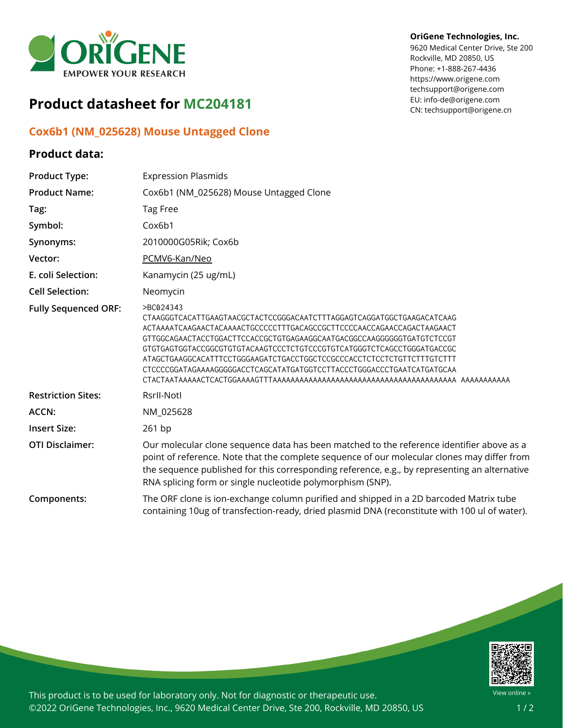

# **Product datasheet for MC204181**

## **Cox6b1 (NM\_025628) Mouse Untagged Clone**

### **Product data:**

#### **OriGene Technologies, Inc.**

9620 Medical Center Drive, Ste 200 Rockville, MD 20850, US Phone: +1-888-267-4436 https://www.origene.com techsupport@origene.com EU: info-de@origene.com CN: techsupport@origene.cn

| <b>Product Type:</b>        | <b>Expression Plasmids</b>                                                                                                                                                                                                                                                                                                                                                                                                                                            |
|-----------------------------|-----------------------------------------------------------------------------------------------------------------------------------------------------------------------------------------------------------------------------------------------------------------------------------------------------------------------------------------------------------------------------------------------------------------------------------------------------------------------|
| <b>Product Name:</b>        | Cox6b1 (NM_025628) Mouse Untagged Clone                                                                                                                                                                                                                                                                                                                                                                                                                               |
| Tag:                        | Tag Free                                                                                                                                                                                                                                                                                                                                                                                                                                                              |
| Symbol:                     | Cox6b1                                                                                                                                                                                                                                                                                                                                                                                                                                                                |
| Synonyms:                   | 2010000G05Rik; Cox6b                                                                                                                                                                                                                                                                                                                                                                                                                                                  |
| Vector:                     | PCMV6-Kan/Neo                                                                                                                                                                                                                                                                                                                                                                                                                                                         |
| E. coli Selection:          | Kanamycin (25 ug/mL)                                                                                                                                                                                                                                                                                                                                                                                                                                                  |
| <b>Cell Selection:</b>      | Neomycin                                                                                                                                                                                                                                                                                                                                                                                                                                                              |
| <b>Fully Sequenced ORF:</b> | >BC024343<br>CTAAGGGTCACATTGAAGTAACGCTACTCCGGGACAATCTTTAGGAGTCAGGATGGCTGAAGACATCAAG<br>ACTAAAATCAAGAACTACAAAACTGCCCCCTTTGACAGCCGCTTCCCCAACCAGAACCAGACTAAGAACT<br>GTTGGCAGAACTACCTGGACTTCCACCGCTGTGAGAAGGCAATGACGGCCAAGGGGGGTGATGTCTCCGT<br>GTGTGAGTGGTACCGGCGTGTGTACAAGTCCCTCTGTCCCGTGTCATGGGTCTCAGCCTGGGATGACCGC<br>ATAGCTGAAGGCACATTTCCTGGGAAGATCTGACCTGGCTCCGCCCACCTCTCCTCTGTTCTTTGTCTTT<br>CTCCCCGGATAGAAAAGGGGGACCTCAGCATATGATGGTCCTTACCCTGGGACCCTGAATCATGATGCAA |
| <b>Restriction Sites:</b>   | Rsrll-Notl                                                                                                                                                                                                                                                                                                                                                                                                                                                            |
| <b>ACCN:</b>                | NM_025628                                                                                                                                                                                                                                                                                                                                                                                                                                                             |
| <b>Insert Size:</b>         | 261 bp                                                                                                                                                                                                                                                                                                                                                                                                                                                                |
| <b>OTI Disclaimer:</b>      | Our molecular clone sequence data has been matched to the reference identifier above as a<br>point of reference. Note that the complete sequence of our molecular clones may differ from<br>the sequence published for this corresponding reference, e.g., by representing an alternative<br>RNA splicing form or single nucleotide polymorphism (SNP).                                                                                                               |
| Components:                 | The ORF clone is ion-exchange column purified and shipped in a 2D barcoded Matrix tube<br>containing 10ug of transfection-ready, dried plasmid DNA (reconstitute with 100 ul of water).                                                                                                                                                                                                                                                                               |



This product is to be used for laboratory only. Not for diagnostic or therapeutic use. ©2022 OriGene Technologies, Inc., 9620 Medical Center Drive, Ste 200, Rockville, MD 20850, US